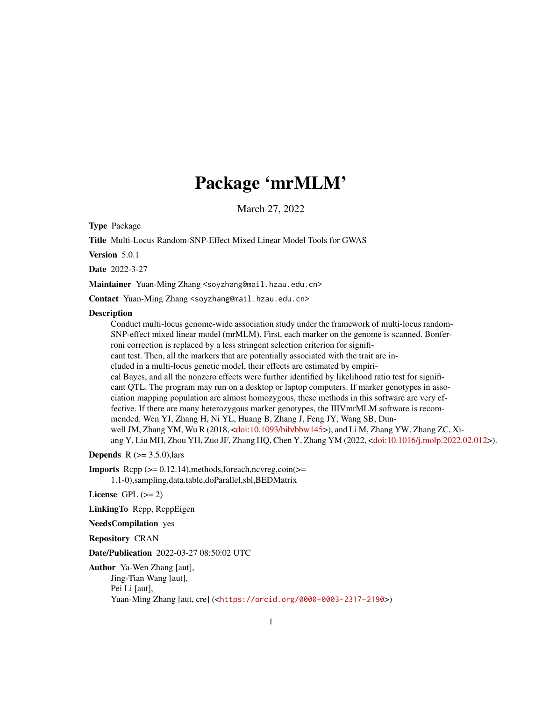# Package 'mrMLM'

March 27, 2022

Type Package

Title Multi-Locus Random-SNP-Effect Mixed Linear Model Tools for GWAS

Version 5.0.1

Date 2022-3-27

Maintainer Yuan-Ming Zhang <soyzhang@mail.hzau.edu.cn>

Contact Yuan-Ming Zhang <soyzhang@mail.hzau.edu.cn>

#### **Description**

Conduct multi-locus genome-wide association study under the framework of multi-locus random-SNP-effect mixed linear model (mrMLM). First, each marker on the genome is scanned. Bonferroni correction is replaced by a less stringent selection criterion for significant test. Then, all the markers that are potentially associated with the trait are included in a multi-locus genetic model, their effects are estimated by empirical Bayes, and all the nonzero effects were further identified by likelihood ratio test for significant QTL. The program may run on a desktop or laptop computers. If marker genotypes in association mapping population are almost homozygous, these methods in this software are very effective. If there are many heterozygous marker genotypes, the IIIVmrMLM software is recommended. Wen YJ, Zhang H, Ni YL, Huang B, Zhang J, Feng JY, Wang SB, Dunwell JM, Zhang YM, Wu R (2018, [<doi:10.1093/bib/bbw145>](https://doi.org/10.1093/bib/bbw145)), and Li M, Zhang YW, Zhang ZC, Xiang Y, Liu MH, Zhou YH, Zuo JF, Zhang HQ, Chen Y, Zhang YM (2022, [<doi:10.1016/j.molp.2022.02.012>](https://doi.org/10.1016/j.molp.2022.02.012)).

**Depends**  $R$  ( $>= 3.5.0$ ), lars

**Imports** Rcpp  $(>= 0.12.14)$ , methods, for each, ncvreg, coin $(>= 0.12.14)$ 1.1-0),sampling,data.table,doParallel,sbl,BEDMatrix

License GPL  $(>= 2)$ 

LinkingTo Rcpp, RcppEigen

NeedsCompilation yes

Repository CRAN

Date/Publication 2022-03-27 08:50:02 UTC

Author Ya-Wen Zhang [aut], Jing-Tian Wang [aut], Pei Li [aut], Yuan-Ming Zhang [aut, cre] (<<https://orcid.org/0000-0003-2317-2190>>)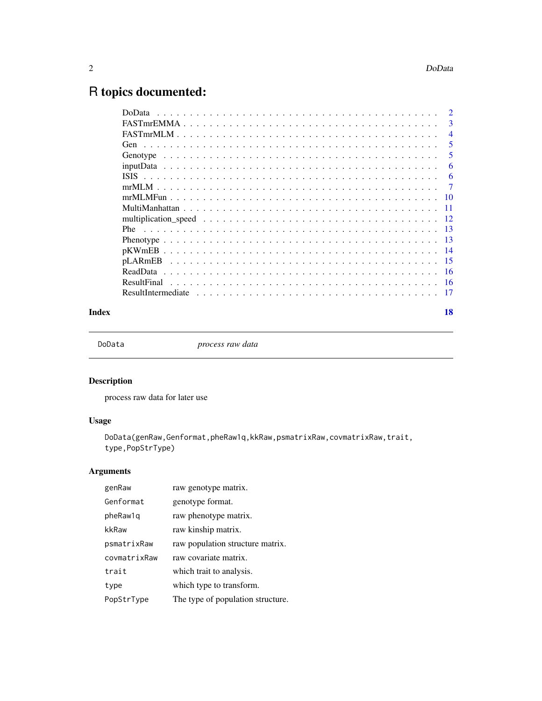# <span id="page-1-0"></span>R topics documented:

| <b>DoData</b>       | $\mathcal{D}$ |
|---------------------|---------------|
|                     | 3             |
|                     | 4             |
|                     | 5             |
|                     | 5             |
|                     | 6             |
|                     | 6             |
|                     | 7             |
|                     | 10            |
|                     | 11            |
|                     | 12            |
|                     | -13           |
|                     | -13           |
|                     | -14           |
|                     | -15           |
|                     | -16           |
| ResultFinal<br>- 16 |               |
|                     | -17           |
|                     |               |

#### **Index** 2008 **[18](#page-17-0)**

DoData *process raw data*

# Description

process raw data for later use

# Usage

DoData(genRaw,Genformat,pheRaw1q,kkRaw,psmatrixRaw,covmatrixRaw,trait, type,PopStrType)

# Arguments

| genRaw       | raw genotype matrix.              |
|--------------|-----------------------------------|
| Genformat    | genotype format.                  |
| pheRaw1q     | raw phenotype matrix.             |
| kkRaw        | raw kinship matrix.               |
| psmatrixRaw  | raw population structure matrix.  |
| covmatrixRaw | raw covariate matrix.             |
| trait        | which trait to analysis.          |
| type         | which type to transform.          |
| PopStrType   | The type of population structure. |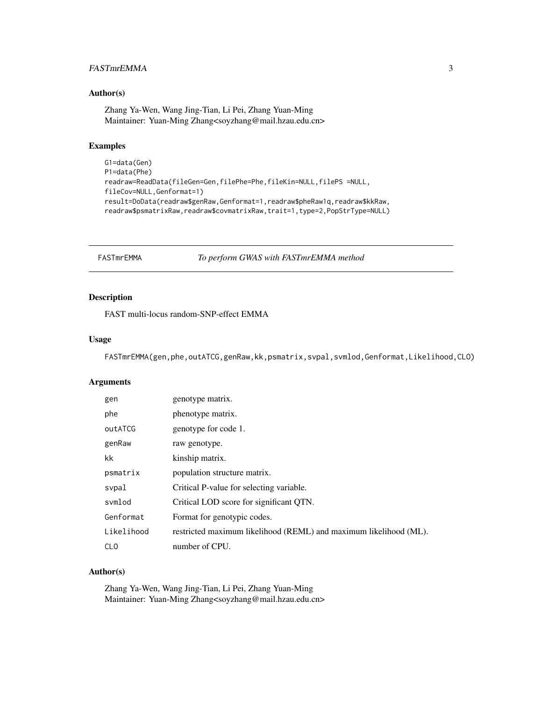# <span id="page-2-0"></span>FASTmrEMMA 3

#### Author(s)

Zhang Ya-Wen, Wang Jing-Tian, Li Pei, Zhang Yuan-Ming Maintainer: Yuan-Ming Zhang<soyzhang@mail.hzau.edu.cn>

# Examples

```
G1=data(Gen)
P1=data(Phe)
readraw=ReadData(fileGen=Gen,filePhe=Phe,fileKin=NULL,filePS =NULL,
fileCov=NULL,Genformat=1)
result=DoData(readraw$genRaw,Genformat=1,readraw$pheRaw1q,readraw$kkRaw,
readraw$psmatrixRaw,readraw$covmatrixRaw,trait=1,type=2,PopStrType=NULL)
```
FASTmrEMMA *To perform GWAS with FASTmrEMMA method*

#### Description

FAST multi-locus random-SNP-effect EMMA

#### Usage

FASTmrEMMA(gen,phe,outATCG,genRaw,kk,psmatrix,svpal,svmlod,Genformat,Likelihood,CLO)

#### Arguments

| gen        | genotype matrix.                                                  |
|------------|-------------------------------------------------------------------|
| phe        | phenotype matrix.                                                 |
| outATCG    | genotype for code 1.                                              |
| genRaw     | raw genotype.                                                     |
| kk         | kinship matrix.                                                   |
| psmatrix   | population structure matrix.                                      |
| svpal      | Critical P-value for selecting variable.                          |
| svmlod     | Critical LOD score for significant QTN.                           |
| Genformat  | Format for genotypic codes.                                       |
| Likelihood | restricted maximum likelihood (REML) and maximum likelihood (ML). |
| <b>CLO</b> | number of CPU.                                                    |

#### Author(s)

Zhang Ya-Wen, Wang Jing-Tian, Li Pei, Zhang Yuan-Ming Maintainer: Yuan-Ming Zhang<soyzhang@mail.hzau.edu.cn>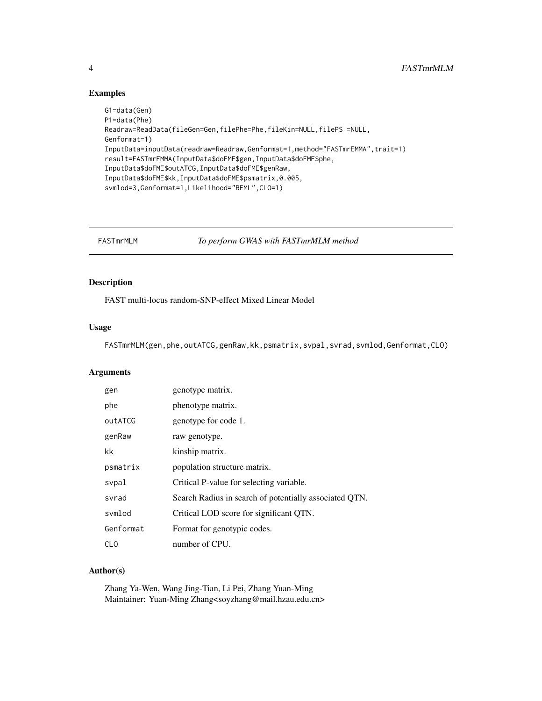# Examples

```
G1=data(Gen)
P1=data(Phe)
Readraw=ReadData(fileGen=Gen,filePhe=Phe,fileKin=NULL,filePS =NULL,
Genformat=1)
InputData=inputData(readraw=Readraw,Genformat=1,method="FASTmrEMMA",trait=1)
result=FASTmrEMMA(InputData$doFME$gen,InputData$doFME$phe,
InputData$doFME$outATCG,InputData$doFME$genRaw,
InputData$doFME$kk,InputData$doFME$psmatrix,0.005,
svmlod=3,Genformat=1,Likelihood="REML",CLO=1)
```
FASTmrMLM *To perform GWAS with FASTmrMLM method*

# Description

FAST multi-locus random-SNP-effect Mixed Linear Model

#### Usage

FASTmrMLM(gen,phe,outATCG,genRaw,kk,psmatrix,svpal,svrad,svmlod,Genformat,CLO)

# Arguments

| gen       | genotype matrix.                                       |
|-----------|--------------------------------------------------------|
| phe       | phenotype matrix.                                      |
| outATCG   | genotype for code 1.                                   |
| genRaw    | raw genotype.                                          |
| kk        | kinship matrix.                                        |
| psmatrix  | population structure matrix.                           |
| svpal     | Critical P-value for selecting variable.               |
| svrad     | Search Radius in search of potentially associated QTN. |
| svmlod    | Critical LOD score for significant QTN.                |
| Genformat | Format for genotypic codes.                            |
| CLO       | number of CPU.                                         |

# Author(s)

Zhang Ya-Wen, Wang Jing-Tian, Li Pei, Zhang Yuan-Ming Maintainer: Yuan-Ming Zhang<soyzhang@mail.hzau.edu.cn>

<span id="page-3-0"></span>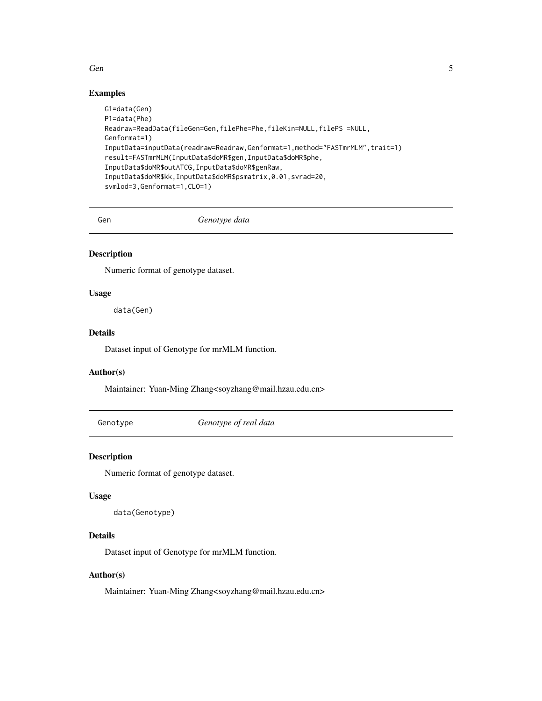#### <span id="page-4-0"></span> $Gen$  5

# Examples

```
G1=data(Gen)
P1=data(Phe)
Readraw=ReadData(fileGen=Gen,filePhe=Phe,fileKin=NULL,filePS =NULL,
Genformat=1)
InputData=inputData(readraw=Readraw,Genformat=1,method="FASTmrMLM",trait=1)
result=FASTmrMLM(InputData$doMR$gen,InputData$doMR$phe,
InputData$doMR$outATCG,InputData$doMR$genRaw,
InputData$doMR$kk,InputData$doMR$psmatrix,0.01,svrad=20,
svmlod=3,Genformat=1,CLO=1)
```
Gen *Genotype data*

# Description

Numeric format of genotype dataset.

# Usage

data(Gen)

#### Details

Dataset input of Genotype for mrMLM function.

#### Author(s)

Maintainer: Yuan-Ming Zhang<soyzhang@mail.hzau.edu.cn>

Genotype *Genotype of real data*

#### Description

Numeric format of genotype dataset.

#### Usage

```
data(Genotype)
```
#### Details

Dataset input of Genotype for mrMLM function.

# Author(s)

Maintainer: Yuan-Ming Zhang<soyzhang@mail.hzau.edu.cn>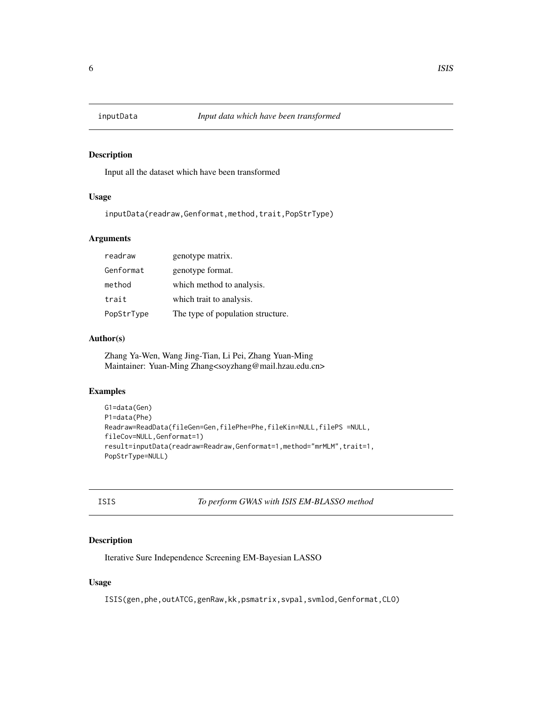<span id="page-5-0"></span>

Input all the dataset which have been transformed

#### Usage

inputData(readraw,Genformat,method,trait,PopStrType)

# Arguments

| readraw    | genotype matrix.                  |
|------------|-----------------------------------|
| Genformat  | genotype format.                  |
| method     | which method to analysis.         |
| trait      | which trait to analysis.          |
| PopStrType | The type of population structure. |

#### Author(s)

Zhang Ya-Wen, Wang Jing-Tian, Li Pei, Zhang Yuan-Ming Maintainer: Yuan-Ming Zhang<soyzhang@mail.hzau.edu.cn>

#### Examples

```
G1=data(Gen)
P1=data(Phe)
Readraw=ReadData(fileGen=Gen,filePhe=Phe,fileKin=NULL,filePS =NULL,
fileCov=NULL,Genformat=1)
result=inputData(readraw=Readraw,Genformat=1,method="mrMLM",trait=1,
PopStrType=NULL)
```

| I<br>×<br>۰. | ×<br>. . |
|--------------|----------|

ISIS *To perform GWAS with ISIS EM-BLASSO method*

# Description

Iterative Sure Independence Screening EM-Bayesian LASSO

#### Usage

ISIS(gen,phe,outATCG,genRaw,kk,psmatrix,svpal,svmlod,Genformat,CLO)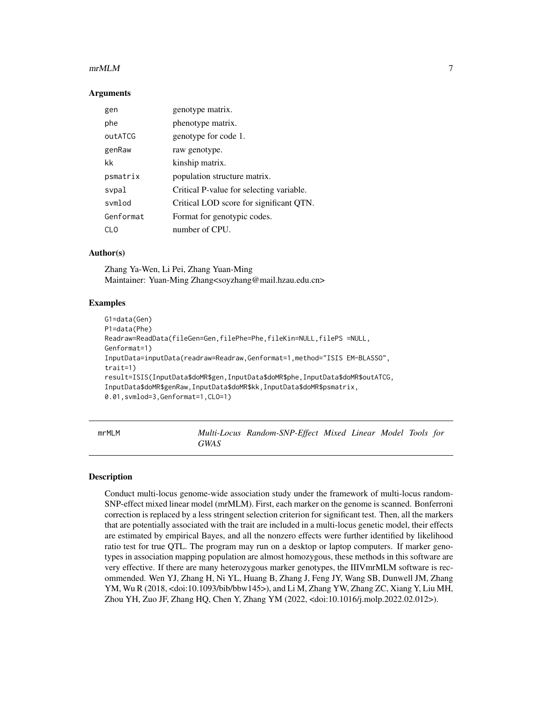#### <span id="page-6-0"></span> $m$ mrMLM  $\sim$  7

#### **Arguments**

| gen       | genotype matrix.                         |
|-----------|------------------------------------------|
| phe       | phenotype matrix.                        |
| outATCG   | genotype for code 1.                     |
| genRaw    | raw genotype.                            |
| kk        | kinship matrix.                          |
| psmatrix  | population structure matrix.             |
| svpal     | Critical P-value for selecting variable. |
| svmlod    | Critical LOD score for significant QTN.  |
| Genformat | Format for genotypic codes.              |
| CL O      | number of CPU.                           |

# Author(s)

Zhang Ya-Wen, Li Pei, Zhang Yuan-Ming Maintainer: Yuan-Ming Zhang<soyzhang@mail.hzau.edu.cn>

#### Examples

```
G1=data(Gen)
P1=data(Phe)
Readraw=ReadData(fileGen=Gen,filePhe=Phe,fileKin=NULL,filePS =NULL,
Genformat=1)
InputData=inputData(readraw=Readraw,Genformat=1,method="ISIS EM-BLASSO",
trait=1)
result=ISIS(InputData$doMR$gen,InputData$doMR$phe,InputData$doMR$outATCG,
InputData$doMR$genRaw,InputData$doMR$kk,InputData$doMR$psmatrix,
0.01,svmlod=3,Genformat=1,CLO=1)
```
mrMLM *Multi-Locus Random-SNP-Effect Mixed Linear Model Tools for GWAS*

# **Description**

Conduct multi-locus genome-wide association study under the framework of multi-locus random-SNP-effect mixed linear model (mrMLM). First, each marker on the genome is scanned. Bonferroni correction is replaced by a less stringent selection criterion for significant test. Then, all the markers that are potentially associated with the trait are included in a multi-locus genetic model, their effects are estimated by empirical Bayes, and all the nonzero effects were further identified by likelihood ratio test for true QTL. The program may run on a desktop or laptop computers. If marker genotypes in association mapping population are almost homozygous, these methods in this software are very effective. If there are many heterozygous marker genotypes, the IIIVmrMLM software is recommended. Wen YJ, Zhang H, Ni YL, Huang B, Zhang J, Feng JY, Wang SB, Dunwell JM, Zhang YM, Wu R (2018, <doi:10.1093/bib/bbw145>), and Li M, Zhang YW, Zhang ZC, Xiang Y, Liu MH, Zhou YH, Zuo JF, Zhang HQ, Chen Y, Zhang YM (2022, <doi:10.1016/j.molp.2022.02.012>).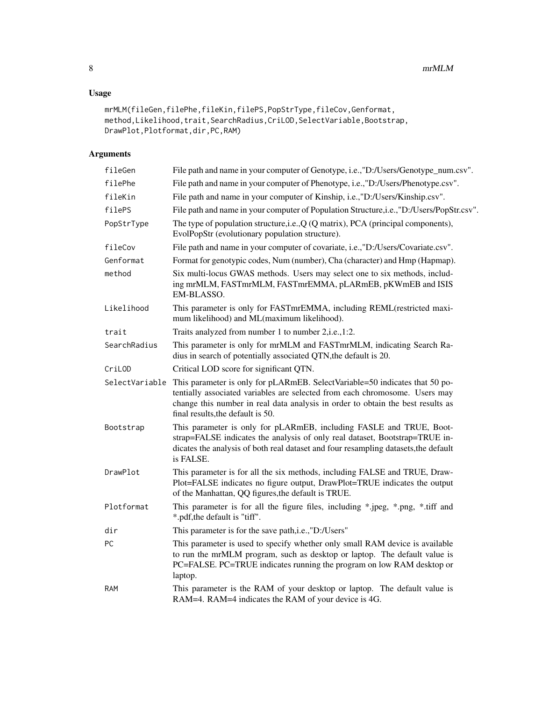# Usage

```
mrMLM(fileGen,filePhe,fileKin,filePS,PopStrType,fileCov,Genformat,
method,Likelihood,trait,SearchRadius,CriLOD,SelectVariable,Bootstrap,
DrawPlot,Plotformat,dir,PC,RAM)
```
# Arguments

| fileGen        | File path and name in your computer of Genotype, i.e., "D:/Users/Genotype_num.csv".                                                                                                                                                                                                |
|----------------|------------------------------------------------------------------------------------------------------------------------------------------------------------------------------------------------------------------------------------------------------------------------------------|
| filePhe        | File path and name in your computer of Phenotype, i.e.,"D:/Users/Phenotype.csv".                                                                                                                                                                                                   |
| fileKin        | File path and name in your computer of Kinship, i.e., "D:/Users/Kinship.csv".                                                                                                                                                                                                      |
| filePS         | File path and name in your computer of Population Structure, i.e., "D:/Users/PopStr.csv".                                                                                                                                                                                          |
| PopStrType     | The type of population structure, i.e., Q (Q matrix), PCA (principal components),<br>EvolPopStr (evolutionary population structure).                                                                                                                                               |
| fileCov        | File path and name in your computer of covariate, i.e., "D:/Users/Covariate.csv".                                                                                                                                                                                                  |
| Genformat      | Format for genotypic codes, Num (number), Cha (character) and Hmp (Hapmap).                                                                                                                                                                                                        |
| method         | Six multi-locus GWAS methods. Users may select one to six methods, includ-<br>ing mrMLM, FASTmrMLM, FASTmrEMMA, pLARmEB, pKWmEB and ISIS<br>EM-BLASSO.                                                                                                                             |
| Likelihood     | This parameter is only for FASTmrEMMA, including REML(restricted maxi-<br>mum likelihood) and ML(maximum likelihood).                                                                                                                                                              |
| trait          | Traits analyzed from number 1 to number 2, i.e., 1:2.                                                                                                                                                                                                                              |
| SearchRadius   | This parameter is only for mrMLM and FASTmrMLM, indicating Search Ra-<br>dius in search of potentially associated QTN, the default is 20.                                                                                                                                          |
| CriLOD         | Critical LOD score for significant QTN.                                                                                                                                                                                                                                            |
| SelectVariable | This parameter is only for pLARmEB. SelectVariable=50 indicates that 50 po-<br>tentially associated variables are selected from each chromosome. Users may<br>change this number in real data analysis in order to obtain the best results as<br>final results, the default is 50. |
| Bootstrap      | This parameter is only for pLARmEB, including FASLE and TRUE, Boot-<br>strap=FALSE indicates the analysis of only real dataset, Bootstrap=TRUE in-<br>dicates the analysis of both real dataset and four resampling datasets, the default<br>is FALSE.                             |
| DrawPlot       | This parameter is for all the six methods, including FALSE and TRUE, Draw-<br>Plot=FALSE indicates no figure output, DrawPlot=TRUE indicates the output<br>of the Manhattan, QQ figures, the default is TRUE.                                                                      |
| Plotformat     | This parameter is for all the figure files, including *.jpeg, *.png, *.tiff and<br>*.pdf, the default is "tiff".                                                                                                                                                                   |
| dir            | This parameter is for the save path, i.e., "D:/Users"                                                                                                                                                                                                                              |
| <b>PC</b>      | This parameter is used to specify whether only small RAM device is available<br>to run the mrMLM program, such as desktop or laptop. The default value is<br>PC=FALSE. PC=TRUE indicates running the program on low RAM desktop or<br>laptop.                                      |
| RAM            | This parameter is the RAM of your desktop or laptop. The default value is<br>RAM=4. RAM=4 indicates the RAM of your device is 4G.                                                                                                                                                  |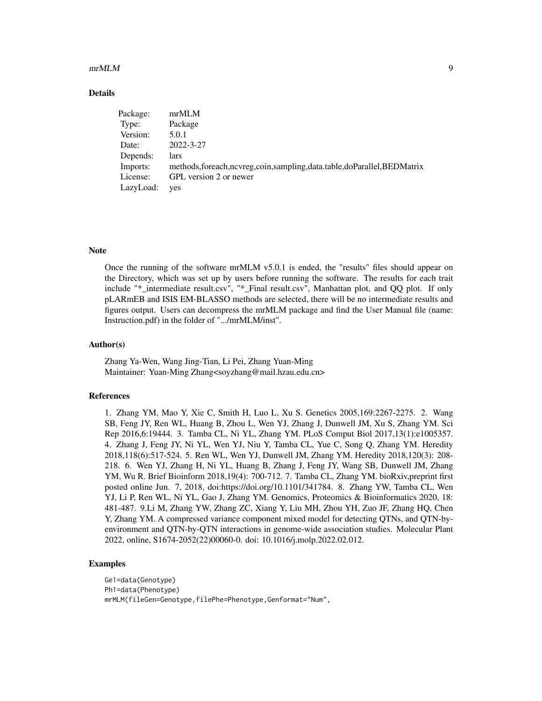#### $m$ mrMLM 9

#### Details

| Package:  | mrMLM                                                                        |
|-----------|------------------------------------------------------------------------------|
| Type:     | Package                                                                      |
| Version:  | 5.0.1                                                                        |
| Date:     | 2022-3-27                                                                    |
| Depends:  | lars                                                                         |
| Imports:  | methods, foreach, ncvreg, coin, sampling, data.table, do Parallel, BEDMatrix |
| License:  | GPL version 2 or newer                                                       |
| LazyLoad: | yes                                                                          |

#### **Note**

Once the running of the software mrMLM v5.0.1 is ended, the "results" files should appear on the Directory, which was set up by users before running the software. The results for each trait include "\*\_intermediate result.csv", "\*\_Final result.csv", Manhattan plot, and QQ plot. If only pLARmEB and ISIS EM-BLASSO methods are selected, there will be no intermediate results and figures output. Users can decompress the mrMLM package and find the User Manual file (name: Instruction.pdf) in the folder of ".../mrMLM/inst".

#### Author(s)

Zhang Ya-Wen, Wang Jing-Tian, Li Pei, Zhang Yuan-Ming Maintainer: Yuan-Ming Zhang<soyzhang@mail.hzau.edu.cn>

#### References

1. Zhang YM, Mao Y, Xie C, Smith H, Luo L, Xu S. Genetics 2005,169:2267-2275. 2. Wang SB, Feng JY, Ren WL, Huang B, Zhou L, Wen YJ, Zhang J, Dunwell JM, Xu S, Zhang YM. Sci Rep 2016,6:19444. 3. Tamba CL, Ni YL, Zhang YM. PLoS Comput Biol 2017,13(1):e1005357. 4. Zhang J, Feng JY, Ni YL, Wen YJ, Niu Y, Tamba CL, Yue C, Song Q, Zhang YM. Heredity 2018,118(6):517-524. 5. Ren WL, Wen YJ, Dunwell JM, Zhang YM. Heredity 2018,120(3): 208- 218. 6. Wen YJ, Zhang H, Ni YL, Huang B, Zhang J, Feng JY, Wang SB, Dunwell JM, Zhang YM, Wu R. Brief Bioinform 2018,19(4): 700-712. 7. Tamba CL, Zhang YM. bioRxiv,preprint first posted online Jun. 7, 2018, doi:https://doi.org/10.1101/341784. 8. Zhang YW, Tamba CL, Wen YJ, Li P, Ren WL, Ni YL, Gao J, Zhang YM. Genomics, Proteomics & Bioinformatics 2020, 18: 481-487. 9.Li M, Zhang YW, Zhang ZC, Xiang Y, Liu MH, Zhou YH, Zuo JF, Zhang HQ, Chen Y, Zhang YM. A compressed variance component mixed model for detecting QTNs, and QTN-byenvironment and QTN-by-QTN interactions in genome-wide association studies. Molecular Plant 2022, online, S1674-2052(22)00060-0. doi: 10.1016/j.molp.2022.02.012.

#### Examples

Ge1=data(Genotype) Ph1=data(Phenotype) mrMLM(fileGen=Genotype,filePhe=Phenotype,Genformat="Num",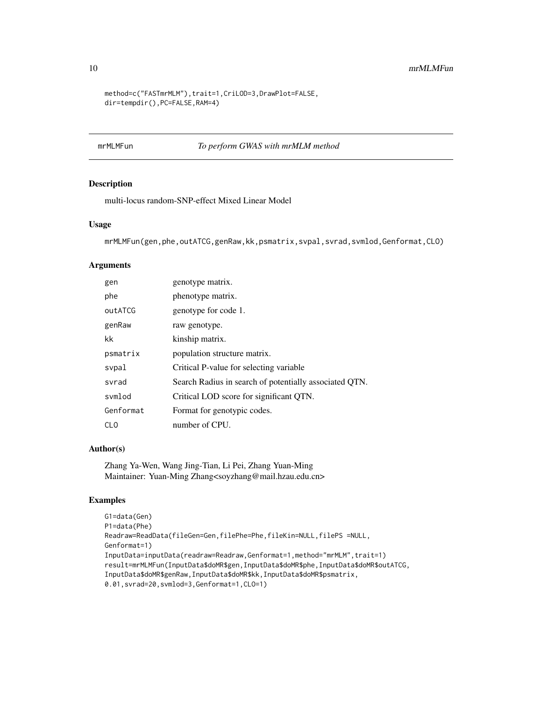```
method=c("FASTmrMLM"),trait=1,CriLOD=3,DrawPlot=FALSE,
dir=tempdir(),PC=FALSE,RAM=4)
```
# mrMLMFun *To perform GWAS with mrMLM method*

#### Description

multi-locus random-SNP-effect Mixed Linear Model

#### Usage

```
mrMLMFun(gen,phe,outATCG,genRaw,kk,psmatrix,svpal,svrad,svmlod,Genformat,CLO)
```
#### Arguments

| gen       | genotype matrix.                                       |
|-----------|--------------------------------------------------------|
| phe       | phenotype matrix.                                      |
| outATCG   | genotype for code 1.                                   |
| genRaw    | raw genotype.                                          |
| kk        | kinship matrix.                                        |
| psmatrix  | population structure matrix.                           |
| svpal     | Critical P-value for selecting variable                |
| svrad     | Search Radius in search of potentially associated QTN. |
| svmlod    | Critical LOD score for significant QTN.                |
| Genformat | Format for genotypic codes.                            |
| CLO       | number of CPU.                                         |

# Author(s)

Zhang Ya-Wen, Wang Jing-Tian, Li Pei, Zhang Yuan-Ming Maintainer: Yuan-Ming Zhang<soyzhang@mail.hzau.edu.cn>

#### Examples

```
G1=data(Gen)
P1=data(Phe)
Readraw=ReadData(fileGen=Gen,filePhe=Phe,fileKin=NULL,filePS =NULL,
Genformat=1)
InputData=inputData(readraw=Readraw,Genformat=1,method="mrMLM",trait=1)
result=mrMLMFun(InputData$doMR$gen,InputData$doMR$phe,InputData$doMR$outATCG,
InputData$doMR$genRaw,InputData$doMR$kk,InputData$doMR$psmatrix,
0.01,svrad=20,svmlod=3,Genformat=1,CLO=1)
```
<span id="page-9-0"></span>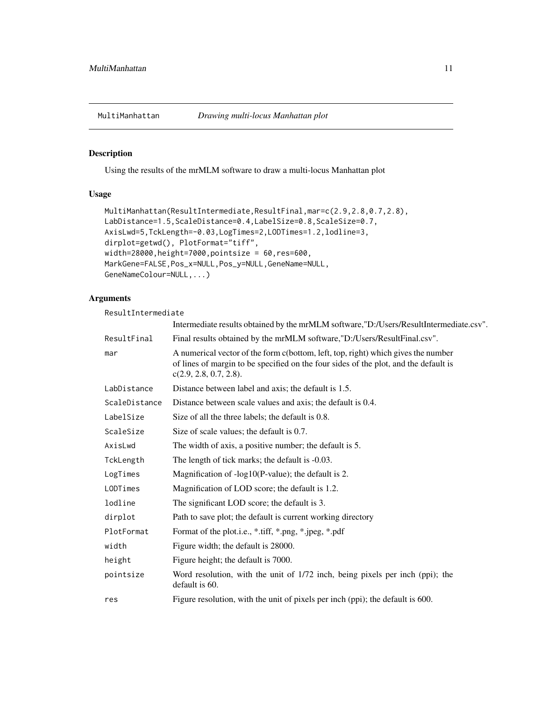<span id="page-10-0"></span>

Using the results of the mrMLM software to draw a multi-locus Manhattan plot

# Usage

```
MultiManhattan(ResultIntermediate,ResultFinal,mar=c(2.9,2.8,0.7,2.8),
LabDistance=1.5,ScaleDistance=0.4,LabelSize=0.8,ScaleSize=0.7,
AxisLwd=5,TckLength=-0.03,LogTimes=2,LODTimes=1.2,lodline=3,
dirplot=getwd(), PlotFormat="tiff",
width=28000,height=7000,pointsize = 60,res=600,
MarkGene=FALSE,Pos_x=NULL,Pos_y=NULL,GeneName=NULL,
GeneNameColour=NULL,...)
```
# Arguments

ResultIntermediate

|               | Intermediate results obtained by the mrMLM software,"D:/Users/ResultIntermediate.csv".                                                                                                              |
|---------------|-----------------------------------------------------------------------------------------------------------------------------------------------------------------------------------------------------|
| ResultFinal   | Final results obtained by the mrMLM software,"D:/Users/ResultFinal.csv".                                                                                                                            |
| mar           | A numerical vector of the form c(bottom, left, top, right) which gives the number<br>of lines of margin to be specified on the four sides of the plot, and the default is<br>c(2.9, 2.8, 0.7, 2.8). |
| LabDistance   | Distance between label and axis; the default is 1.5.                                                                                                                                                |
| ScaleDistance | Distance between scale values and axis; the default is 0.4.                                                                                                                                         |
| LabelSize     | Size of all the three labels; the default is 0.8.                                                                                                                                                   |
| ScaleSize     | Size of scale values; the default is 0.7.                                                                                                                                                           |
| AxisLwd       | The width of axis, a positive number; the default is 5.                                                                                                                                             |
| TckLength     | The length of tick marks; the default is -0.03.                                                                                                                                                     |
| LogTimes      | Magnification of -log10(P-value); the default is 2.                                                                                                                                                 |
| LODTimes      | Magnification of LOD score; the default is 1.2.                                                                                                                                                     |
| lodline       | The significant LOD score; the default is 3.                                                                                                                                                        |
| dirplot       | Path to save plot; the default is current working directory                                                                                                                                         |
| PlotFormat    | Format of the plot.i.e., *.tiff, *.png, *.jpeg, *.pdf                                                                                                                                               |
| width         | Figure width; the default is 28000.                                                                                                                                                                 |
| height        | Figure height; the default is 7000.                                                                                                                                                                 |
| pointsize     | Word resolution, with the unit of 1/72 inch, being pixels per inch (ppi); the<br>default is 60.                                                                                                     |
| res           | Figure resolution, with the unit of pixels per inch (ppi); the default is 600.                                                                                                                      |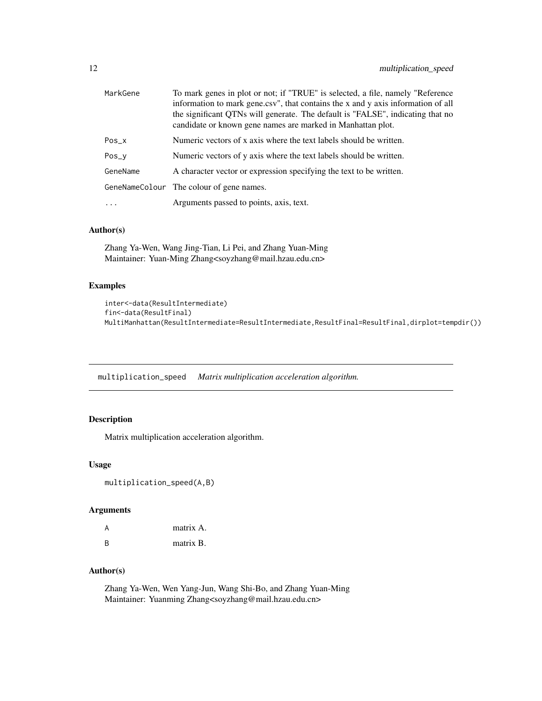<span id="page-11-0"></span>

| MarkGene | To mark genes in plot or not; if "TRUE" is selected, a file, namely "Reference<br>information to mark gene.csv", that contains the x and y axis information of all<br>the significant QTNs will generate. The default is "FALSE", indicating that no<br>candidate or known gene names are marked in Manhattan plot. |
|----------|---------------------------------------------------------------------------------------------------------------------------------------------------------------------------------------------------------------------------------------------------------------------------------------------------------------------|
| Pos_x    | Numeric vectors of x axis where the text labels should be written.                                                                                                                                                                                                                                                  |
| Pos_y    | Numeric vectors of y axis where the text labels should be written.                                                                                                                                                                                                                                                  |
| GeneName | A character vector or expression specifying the text to be written.                                                                                                                                                                                                                                                 |
|          | GeneNameColour The colour of gene names.                                                                                                                                                                                                                                                                            |
| $\cdots$ | Arguments passed to points, axis, text.                                                                                                                                                                                                                                                                             |

# Author(s)

Zhang Ya-Wen, Wang Jing-Tian, Li Pei, and Zhang Yuan-Ming Maintainer: Yuan-Ming Zhang<soyzhang@mail.hzau.edu.cn>

# Examples

```
inter<-data(ResultIntermediate)
fin<-data(ResultFinal)
MultiManhattan(ResultIntermediate=ResultIntermediate,ResultFinal=ResultFinal,dirplot=tempdir())
```
multiplication\_speed *Matrix multiplication acceleration algorithm.*

# Description

Matrix multiplication acceleration algorithm.

#### Usage

```
multiplication_speed(A,B)
```
#### Arguments

| A | matrix A. |
|---|-----------|
| B | matrix B. |

# Author(s)

Zhang Ya-Wen, Wen Yang-Jun, Wang Shi-Bo, and Zhang Yuan-Ming Maintainer: Yuanming Zhang<soyzhang@mail.hzau.edu.cn>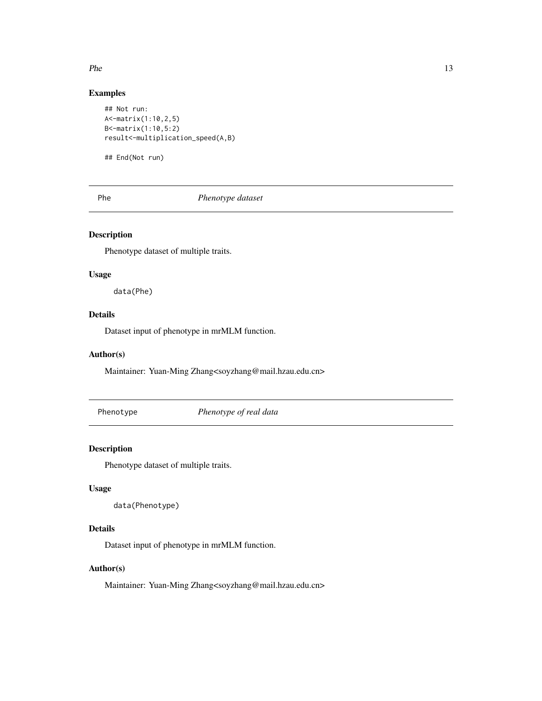<span id="page-12-0"></span> $P$ he 13

# Examples

```
## Not run:
A<-matrix(1:10,2,5)
B<-matrix(1:10,5:2)
result<-multiplication_speed(A,B)
```
## End(Not run)

Phe *Phenotype dataset*

# Description

Phenotype dataset of multiple traits.

# Usage

data(Phe)

# Details

Dataset input of phenotype in mrMLM function.

#### Author(s)

Maintainer: Yuan-Ming Zhang<soyzhang@mail.hzau.edu.cn>

Phenotype *Phenotype of real data*

#### Description

Phenotype dataset of multiple traits.

#### Usage

```
data(Phenotype)
```
# Details

Dataset input of phenotype in mrMLM function.

# Author(s)

Maintainer: Yuan-Ming Zhang<soyzhang@mail.hzau.edu.cn>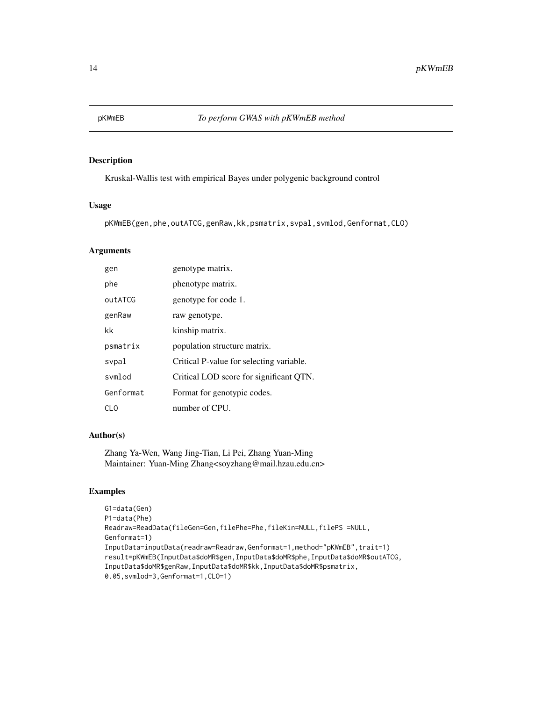<span id="page-13-0"></span>

Kruskal-Wallis test with empirical Bayes under polygenic background control

#### Usage

```
pKWmEB(gen,phe,outATCG,genRaw,kk,psmatrix,svpal,svmlod,Genformat,CLO)
```
# Arguments

| gen       | genotype matrix.                         |
|-----------|------------------------------------------|
| phe       | phenotype matrix.                        |
| outATCG   | genotype for code 1.                     |
| genRaw    | raw genotype.                            |
| kk        | kinship matrix.                          |
| psmatrix  | population structure matrix.             |
| svpal     | Critical P-value for selecting variable. |
| symlod    | Critical LOD score for significant QTN.  |
| Genformat | Format for genotypic codes.              |
| CL O      | number of CPU.                           |

#### Author(s)

Zhang Ya-Wen, Wang Jing-Tian, Li Pei, Zhang Yuan-Ming Maintainer: Yuan-Ming Zhang<soyzhang@mail.hzau.edu.cn>

# Examples

```
G1=data(Gen)
P1=data(Phe)
Readraw=ReadData(fileGen=Gen,filePhe=Phe,fileKin=NULL,filePS =NULL,
Genformat=1)
InputData=inputData(readraw=Readraw,Genformat=1,method="pKWmEB",trait=1)
result=pKWmEB(InputData$doMR$gen,InputData$doMR$phe,InputData$doMR$outATCG,
InputData$doMR$genRaw,InputData$doMR$kk,InputData$doMR$psmatrix,
0.05,svmlod=3,Genformat=1,CLO=1)
```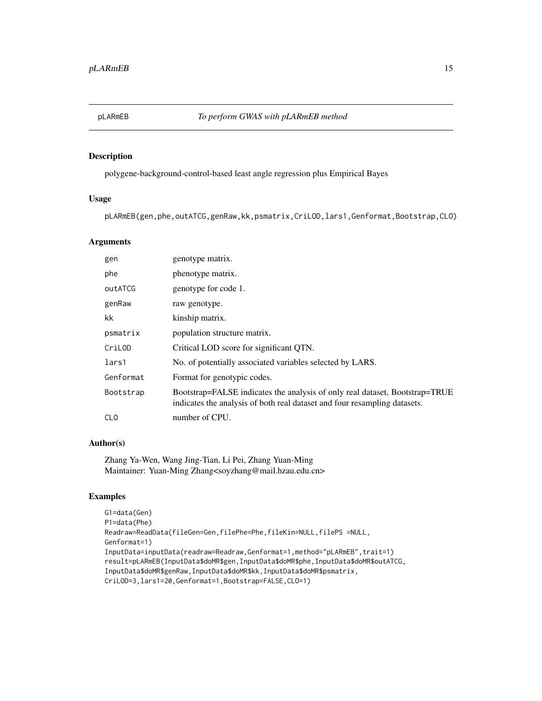<span id="page-14-0"></span>

polygene-background-control-based least angle regression plus Empirical Bayes

#### Usage

pLARmEB(gen,phe,outATCG,genRaw,kk,psmatrix,CriLOD,lars1,Genformat,Bootstrap,CLO)

# Arguments

| gen        | genotype matrix.                                                                                                                                         |
|------------|----------------------------------------------------------------------------------------------------------------------------------------------------------|
| phe        | phenotype matrix.                                                                                                                                        |
| outATCG    | genotype for code 1.                                                                                                                                     |
| genRaw     | raw genotype.                                                                                                                                            |
| kk         | kinship matrix.                                                                                                                                          |
| psmatrix   | population structure matrix.                                                                                                                             |
| CriLOD     | Critical LOD score for significant QTN.                                                                                                                  |
| lars1      | No. of potentially associated variables selected by LARS.                                                                                                |
| Genformat  | Format for genotypic codes.                                                                                                                              |
| Bootstrap  | Bootstrap=FALSE indicates the analysis of only real dataset, Bootstrap=TRUE<br>indicates the analysis of both real dataset and four resampling datasets. |
| <b>CLO</b> | number of CPU.                                                                                                                                           |

#### Author(s)

Zhang Ya-Wen, Wang Jing-Tian, Li Pei, Zhang Yuan-Ming Maintainer: Yuan-Ming Zhang<soyzhang@mail.hzau.edu.cn>

# Examples

```
G1=data(Gen)
P1=data(Phe)
Readraw=ReadData(fileGen=Gen,filePhe=Phe,fileKin=NULL,filePS =NULL,
Genformat=1)
InputData=inputData(readraw=Readraw,Genformat=1,method="pLARmEB",trait=1)
result=pLARmEB(InputData$doMR$gen,InputData$doMR$phe,InputData$doMR$outATCG,
InputData$doMR$genRaw,InputData$doMR$kk,InputData$doMR$psmatrix,
CriLOD=3,lars1=20,Genformat=1,Bootstrap=FALSE,CLO=1)
```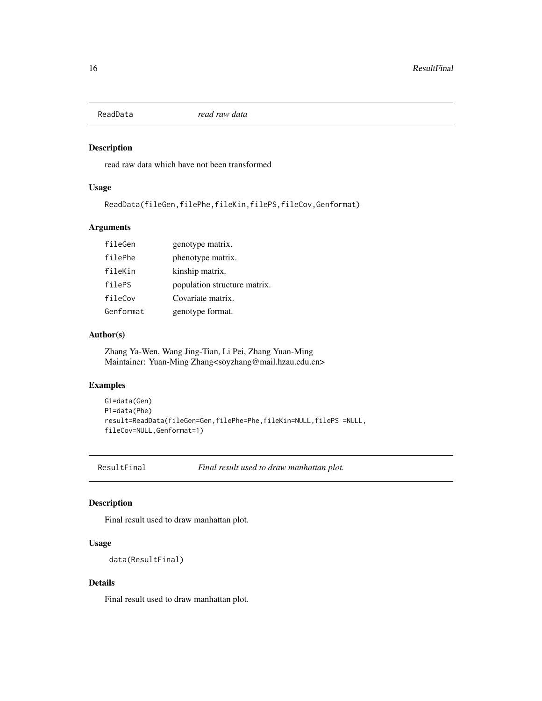<span id="page-15-0"></span>

read raw data which have not been transformed

#### Usage

ReadData(fileGen,filePhe,fileKin,filePS,fileCov,Genformat)

# Arguments

| fileGen   | genotype matrix.             |
|-----------|------------------------------|
| filePhe   | phenotype matrix.            |
| fileKin   | kinship matrix.              |
| filePS    | population structure matrix. |
| fileCov   | Covariate matrix.            |
| Genformat | genotype format.             |

#### Author(s)

Zhang Ya-Wen, Wang Jing-Tian, Li Pei, Zhang Yuan-Ming Maintainer: Yuan-Ming Zhang<soyzhang@mail.hzau.edu.cn>

#### Examples

```
G1=data(Gen)
P1=data(Phe)
result=ReadData(fileGen=Gen,filePhe=Phe,fileKin=NULL,filePS =NULL,
fileCov=NULL,Genformat=1)
```
ResultFinal *Final result used to draw manhattan plot.*

#### Description

Final result used to draw manhattan plot.

# Usage

data(ResultFinal)

#### Details

Final result used to draw manhattan plot.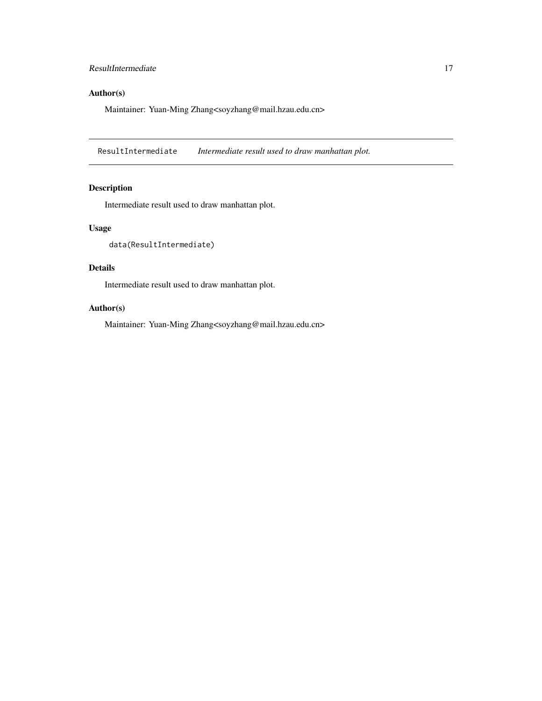# <span id="page-16-0"></span>ResultIntermediate 17

# Author(s)

Maintainer: Yuan-Ming Zhang<soyzhang@mail.hzau.edu.cn>

ResultIntermediate *Intermediate result used to draw manhattan plot.*

# Description

Intermediate result used to draw manhattan plot.

# Usage

```
data(ResultIntermediate)
```
# Details

Intermediate result used to draw manhattan plot.

#### Author(s)

Maintainer: Yuan-Ming Zhang<soyzhang@mail.hzau.edu.cn>